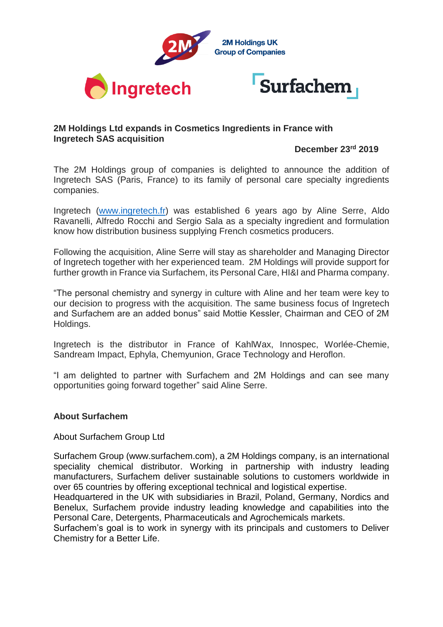

## **2M Holdings Ltd expands in Cosmetics Ingredients in France with Ingretech SAS acquisition**

## **December 23rd 2019**

The 2M Holdings group of companies is delighted to announce the addition of Ingretech SAS (Paris, France) to its family of personal care specialty ingredients companies.

Ingretech [\(www.ingretech.fr\)](http://www.ingretech.fr/) was established 6 years ago by Aline Serre, Aldo Ravanelli, Alfredo Rocchi and Sergio Sala as a specialty ingredient and formulation know how distribution business supplying French cosmetics producers.

Following the acquisition, Aline Serre will stay as shareholder and Managing Director of Ingretech together with her experienced team. 2M Holdings will provide support for further growth in France via Surfachem, its Personal Care, HI&I and Pharma company.

"The personal chemistry and synergy in culture with Aline and her team were key to our decision to progress with the acquisition. The same business focus of Ingretech and Surfachem are an added bonus" said Mottie Kessler, Chairman and CEO of 2M Holdings.

Ingretech is the distributor in France of KahlWax, Innospec, Worlée-Chemie, Sandream Impact, Ephyla, Chemyunion, Grace Technology and Heroflon.

"I am delighted to partner with Surfachem and 2M Holdings and can see many opportunities going forward together" said Aline Serre.

## **About Surfachem**

About Surfachem Group Ltd

Surfachem Group (www.surfachem.com), a 2M Holdings company, is an international speciality chemical distributor. Working in partnership with industry leading manufacturers, Surfachem deliver sustainable solutions to customers worldwide in over 65 countries by offering exceptional technical and logistical expertise.

Headquartered in the UK with subsidiaries in Brazil, Poland, Germany, Nordics and Benelux, Surfachem provide industry leading knowledge and capabilities into the Personal Care, Detergents, Pharmaceuticals and Agrochemicals markets.

Surfachem's goal is to work in synergy with its principals and customers to Deliver Chemistry for a Better Life.